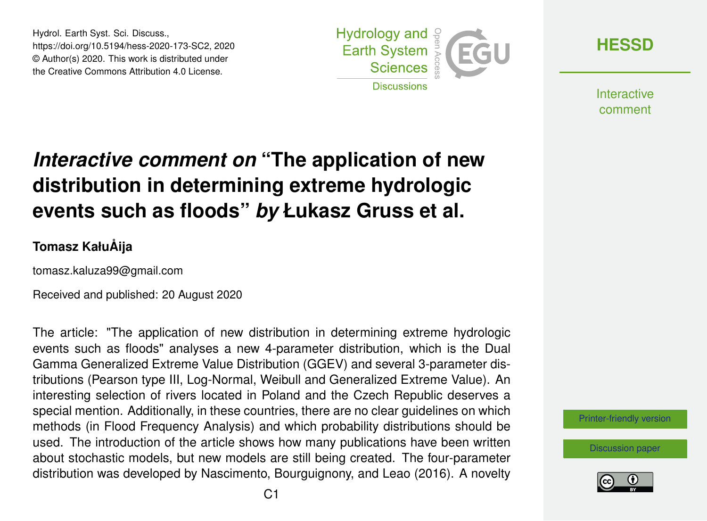Hydrol. Earth Syst. Sci. Discuss., https://doi.org/10.5194/hess-2020-173-SC2, 2020 © Author(s) 2020. This work is distributed under the Creative Commons Attribution 4.0 License.



**[HESSD](https://hess.copernicus.org/preprints/)**

**Interactive** comment

## *Interactive comment on* **"The application of new distribution in determining extreme hydrologic events such as floods"** *by* **Łukasz Gruss et al.**

## **Tomasz KałuÅija**

tomasz.kaluza99@gmail.com

Received and published: 20 August 2020

The article: "The application of new distribution in determining extreme hydrologic events such as floods" analyses a new 4-parameter distribution, which is the Dual Gamma Generalized Extreme Value Distribution (GGEV) and several 3-parameter distributions (Pearson type III, Log-Normal, Weibull and Generalized Extreme Value). An interesting selection of rivers located in Poland and the Czech Republic deserves a special mention. Additionally, in these countries, there are no clear guidelines on which methods (in Flood Frequency Analysis) and which probability distributions should be used. The introduction of the article shows how many publications have been written about stochastic models, but new models are still being created. The four-parameter distribution was developed by Nascimento, Bourguignony, and Leao (2016). A novelty



[Discussion paper](https://hess.copernicus.org/preprints/hess-2020-173)